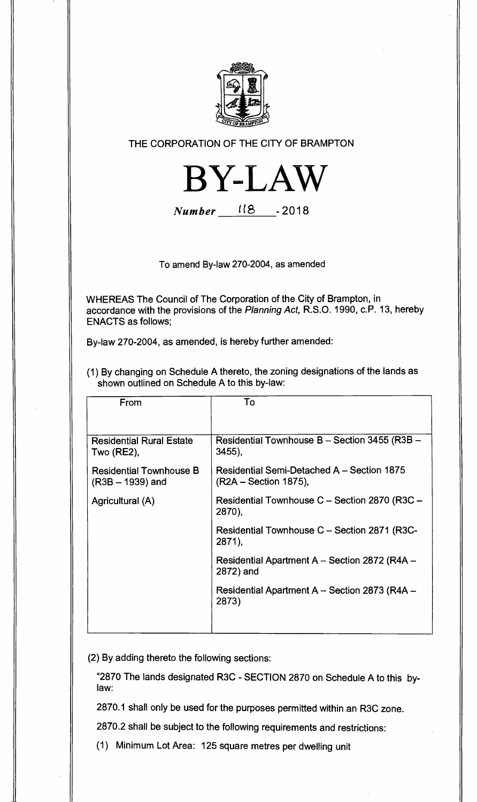

## THE CORPORATION OF THE CITY OF BRAMPTON



**Number US -2018** 

To amend By-law 270-2004, as amended

WHEREAS The Council of The Corporation of the City of Brampton, in accordance with the provisions of the **Planning Act,** R.S.O. 1990, c.P. 13, hereby ENACTS as follows;

By-law 270-2004, as amended, is hereby further amended:

(1) By changing on Schedule A thereto, the zoning designations of the lands as shown outlined on Schedule A to this by-law:

| From                                                 | To                                                                     |
|------------------------------------------------------|------------------------------------------------------------------------|
|                                                      |                                                                        |
| <b>Residential Rural Estate</b><br><b>Two (RE2),</b> | Residential Townhouse B - Section 3455 (R3B -<br>3455),                |
| <b>Residential Townhouse B</b><br>$(R3B - 1939)$ and | Residential Semi-Detached A - Section 1875<br>$(R2A - Section 1875)$ , |
| Agricultural (A)                                     | Residential Townhouse C – Section 2870 (R3C –<br>2870),                |
|                                                      | Residential Townhouse C - Section 2871 (R3C-<br>2871),                 |
|                                                      | Residential Apartment A - Section 2872 (R4A -<br>2872) and             |
|                                                      | Residential Apartment A - Section 2873 (R4A -<br>2873)                 |
|                                                      |                                                                        |

(2) By adding thereto the following sections:

"2870 The lands designated R3C - SECTION 2870 on Schedule A to this bylaw:

2870.1 shall only be used for the purposes permitted within an R3C zone.

2870.2 shall be subject to the following requirements and restrictions:

(1) Minimum Lot Area: 125 square metres per dwelling unit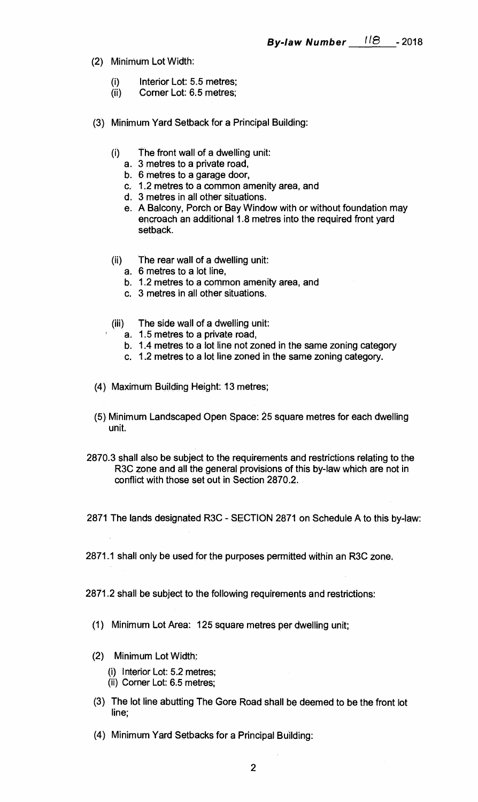- **(2) Minimum Lot Width:** 
	- **(i) Interior Lot: 5.5 metres;**
	- Corner Lot: 6.5 metres;
- **(3) Minimum Yard Setback for a Principal Building:** 
	- **(i) The front wall of a dwelling unit:** 
		- **a. 3 metres to a private road,**
		- **b. 6 metres to a garage door,**
		- **c. 1.2 metres to a common amenity area, and**
		- **d. 3 metres in all other situations.**
		- **e. A Balcony, Porch or Bay Window with or without foundation may encroach an additional 1.8 metres into the required front yard setback.**
	- **(ii) The rear wall of a dwelling unit:** 
		- **a. 6 metres to a lot line,**
		- **b. 1.2 metres to a common amenity area, and**
		- **c. 3 metres in all other situations.**
	- **(iii) The side wall of a dwelling unit:** 
		- **a. 1.5 metres to a private road,**
		- **b. 1.4 metres to a lot line not zoned in the same zoning category**
		- **c. 1.2 metres to a lot line zoned in the same zoning category.**
- **(4) Maximum Building Height: 13 metres;**
- **(5) Minimum Landscaped Open**. **Space: 25 square metres for each dwelling unit.**
- **2870.3 shall also be subject to the requirements and restrictions relating to the R3C zone and all the general provisions of this by-law which are not in conflict with those set out in Section 2870.2.**
- **2871 The lands designated R3C SECTION 2871 on Schedule A to this by-law:**
- **2871.1 shall only be used for the purposes permitted within an R3C zone.**
- **2871.2 shall be subject to the following requirements and restrictions:** 
	- **(1) Minimum Lot Area: 125 square metres per dwelling unit;**
	- **(2) Minimum Lot Width:** 
		- **(i) Interior Lot: 5.2 metres;**
		- **(ii) Corner Lot: 6.5 metres;**
	- **(3) The lot line abutting The Gore Road shall be deemed to be the front lot line;**
	- **(4) Minimum Yard Setbacks for a Principal Building:**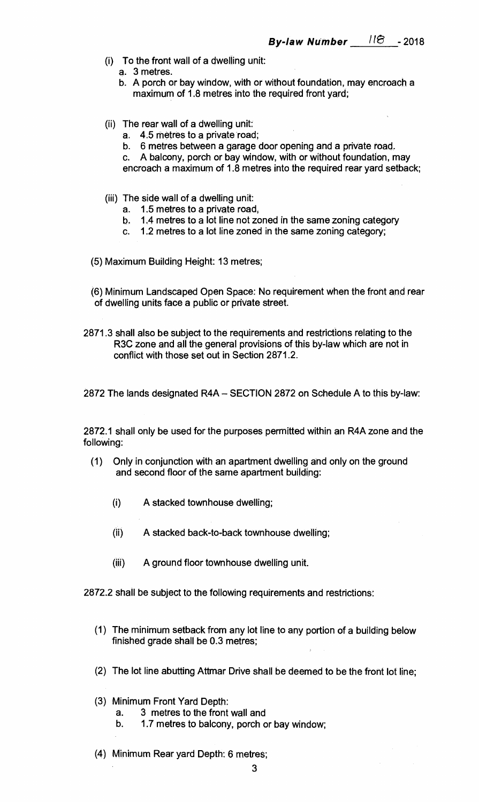- **(i) To the front wall of a dwelling unit:** 
	- **a. 3 metres.**
	- **b. A porch or bay window, with or without foundation, may encroach a maximum of 1.8 metres into the required front yard;**
- **(ii) The rear wall of a dwelling unit:** 
	- **a. 4.5 metres to a private road;**
	- **b. 6 metres between a garage door opening and a private road.**
	- **c. A balcony, porch or bay window, with or without foundation, may encroach a maximum of 1.8 metres into the required rear yard setback;**
- **(iii) The side wall of a dwelling unit:** 
	- **a. 1.5 metres to a private road,**
	- **b. 1.4 metres to a lot line not zoned in the same zoning category**
	- **c. 1.2 metres to a lot line zoned in the same zoning category;**
- **(5) Maximum Building Height: 13 metres;**
- **(6) Minimum Landscaped Open Space: No requirement when the front and rear of dwelling units face a public or private street.**
- **2871.3 shall also be subject to the requirements and restrictions relating to the R3C zone and all the general provisions of this by-law which are not in conflict with those set out in Section 2871.2.**
- **2872 The lands designated R4A SECTION 2872 on Schedule A to this by-law:**

**2872.1 shall only be used for the purposes permitted within an R4A zone and the following:** 

- **(1) Only in conjunction with an apartment dwelling and only on the ground and second floor of the same apartment building:** 
	- **(i) A stacked townhouse dwelling;**
	- **(ii) A stacked back-to-back townhouse dwelling;**
	- **(iii) A ground floor townhouse dwelling unit.**

**2872.2 shall be subject to the following requirements and restrictions:** 

- **(1) The minimum setback from any lot line to any portion of a building below finished grade shall be 0.3 metres;**
- **(2) The lot line abutting Attmar Drive shall be deemed to be the front lot line;**
- **(3) Minimum Front Yard Depth:** 
	- **a. 3 metres to the front wall and**
	- **b. 1.7 metres to balcony, porch or bay window;**
- **(4) Minimum Rear yard Depth: 6 metres;**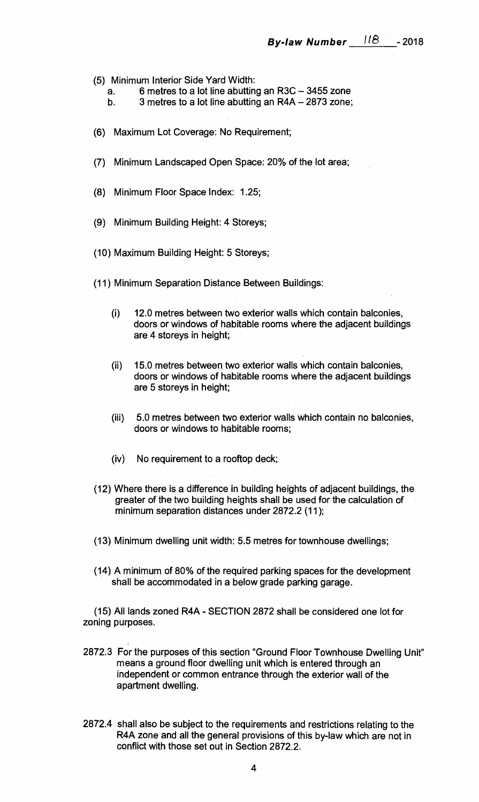- **(5) Minimum Interior Side Yard Width:** 
	- **a. 6 metres to a lot line abutting an R3C 3455 zone**
	- **b. 3 metres to a lot line abutting an R4A 2873 zone;**
- **(6) Maximum Lot Coverage: No Requirement;**
- **(7) Minimum Landscaped Open Space: 20% of the lot area;**
- **(8) Minimum Floor Space Index: 1.25;**
- **(9) Minimum Building Height: 4 Storeys;**
- **(10) Maximum Building Height: 5 Storeys;**
- **(11) Minimum Separation Distance Between Buildings:** 
	- **(i) 12.0 metres between two exterior walls which contain balconies, doors or windows of habitable rooms where the adjacent buildings are 4 storeys in height;**
	- **(ii) 15.0 metres between two exterior walls which contain balconies, doors or windows of habitable rooms where the adjacent buildings are 5 storeys in height;**
	- **(iii) 5.0 metres between two exterior walls which contain no balconies, doors or windows to habitable rooms;**
	- **(iv) No requirement to a rooftop deck;**
- **(12) Where there is a difference in building heights of adjacent buildings, the greater of the two building heights shall be used for the calculation of minimum separation distances under 2872.2 (11);**
- **(13) Minimum dwelling unit width: 5.5 metres for townhouse dwellings;**
- **(14) A minimum of 80% of the required parking spaces for the development shall be accommodated in a below grade parking garage.**

**(15) All lands zoned R4A - SECTION 2872 shall be considered one lot for zoning purposes.** 

- **2872.3 For the purposes of this section "Ground Floor Townhouse Dwelling Unit" means a ground floor dwelling unit which is entered through an independent or common entrance through the exterior wall of the apartment dwelling.**
- **2872.4 shall also be subject to the requirements and restrictions relating to the R4A zone and all the general provisions of this by-law which are not in conflict with those set out in Section 2872.2.**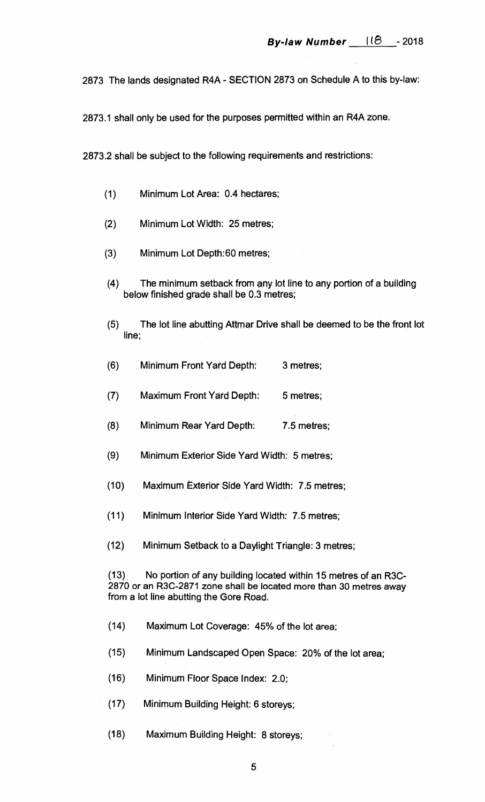**2873 The lands designated R4A - SECTION 2873 on Schedule A to this by-law:** 

**2873.1 shall only be used for the purposes permitted within an R4A zone.** 

**2873.2 shall be subject to the following requirements and restrictions:** 

- **(1) Minimum Lot Area: 0.4 hectares;**
- **(2) Minimum Lot Width: 25 metres;**
- **(3) Minimum Lot Depth:60 metres;**
- **(4) The minimum setback from any lot line to any portion of a building below finished grade shall be 0.3 metres;**
- **(5) The lot line abutting Attmar Drive shall be deemed to be the front lot line;**
- **(6) Minimum Front Yard Depth: 3 metres;**
- **(7) Maximum Front Yard Depth: 5 metres;**
- **(8) Minimum Rear Yard Depth: 7.5 metres;**
- **(9) Minimum Exterior Side Yard Width: 5 metres;**
- **(10) Maximum Exterior Side Yard Width: 7.5 metres;**
- **(11) Minimum Interior Side Yard Width: 7.5 metres;**
- **(12) Minimum Setback to a Daylight. Triangle: 3 metres;**

**(13) No portion of any building located within 15 metres of an R3C-2870 or an R3C-2871 zone shall be located more than 30 metres away from a lot line abutting the Gore Road.** 

- **(14) Maximum Lot Coverage: 45% of the lot area;**
- **(15) Minimum Landscaped Open Space: 20% of the lot area;**
- **(16) Minimum Floor Space Index: 2.0;**
- **(17) Minimum Building Height: 6 storeys;**
- **(18) Maximum Building Height: 8 storeys;**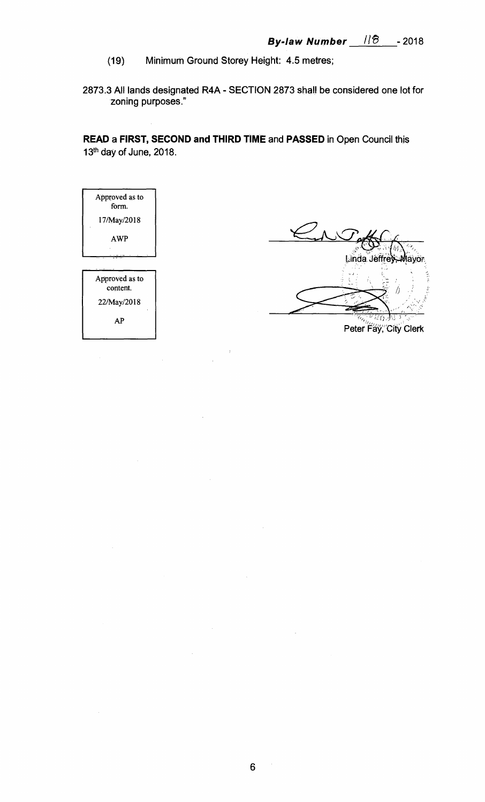- (19) Minimum Ground Storey Height: 4.5 metres;
- 2873.3 All lands designated R4A SECTION 2873 shall be considered one lot for zoning purposes."

**READ** a **FIRST, SECOND and THIRD TIME** and **PASSED** in Open Council this 13<sup>th</sup> day of June, 2018.

| Approved as to<br>form. |  |
|-------------------------|--|
| 17/May/2018             |  |
| <b>AWP</b>              |  |
|                         |  |
|                         |  |
| Approved as to          |  |
| content.                |  |
| 22/May/2018             |  |
|                         |  |

Linda Jeffrey,

Peter Fay, City Clerk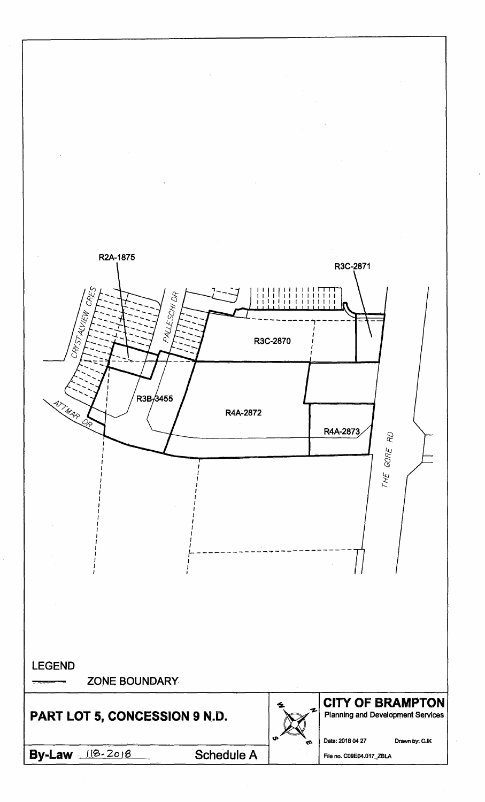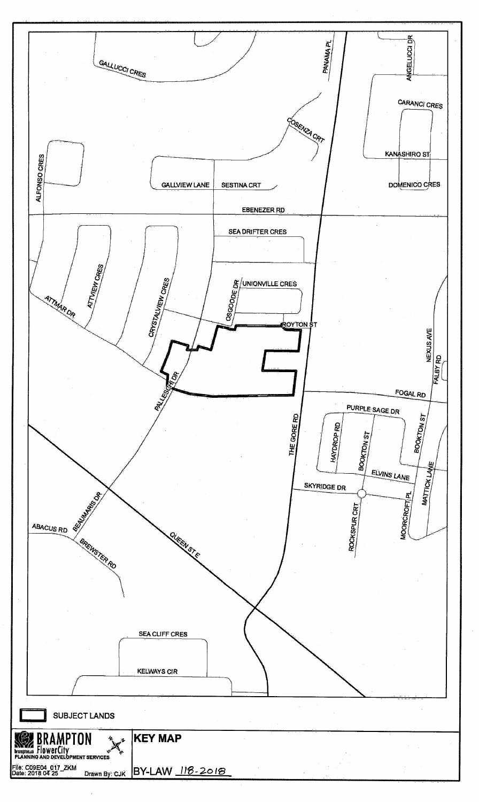